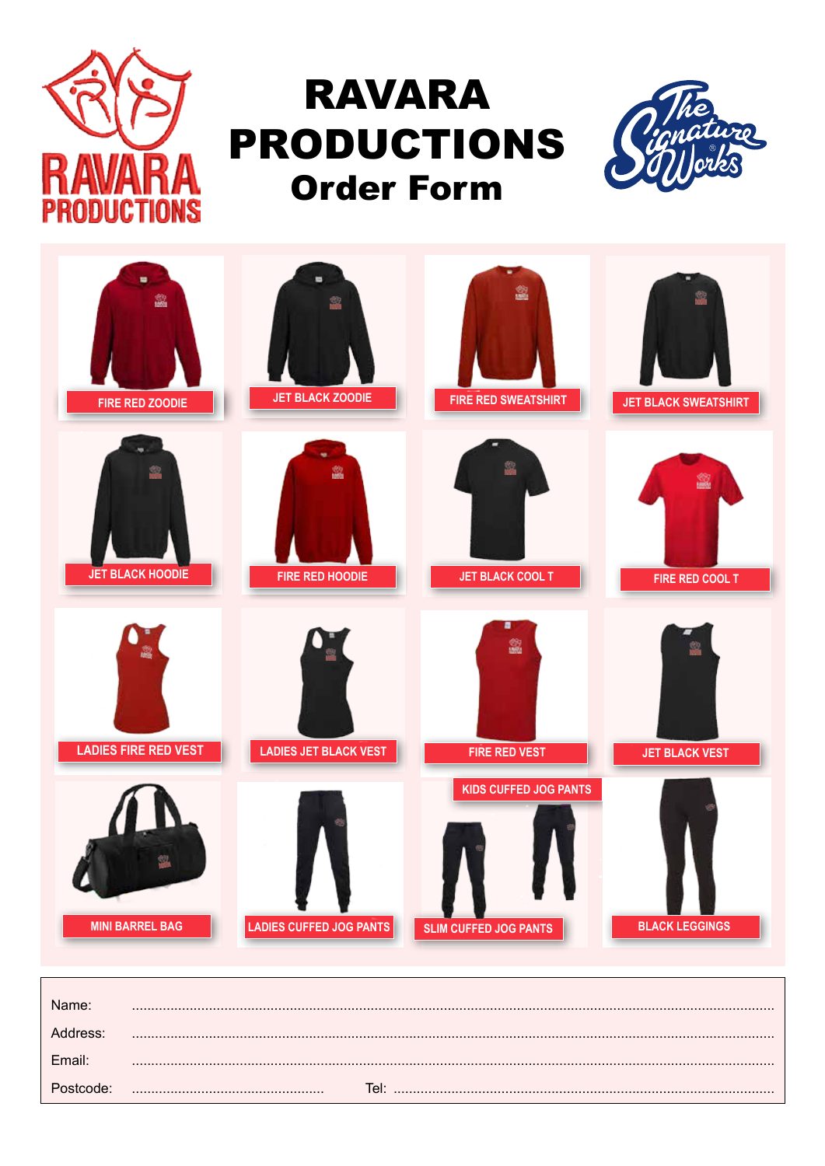

## **RAVARA PRODUCTIONS Order Form**





| Name <sup>.</sup> |      |
|-------------------|------|
|                   |      |
| Email:            |      |
|                   | Tel: |